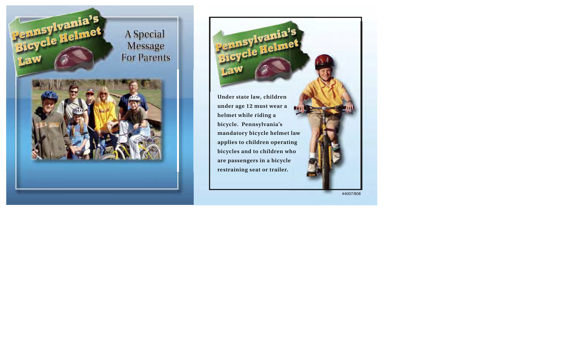

**Under state law, children under age 12 must wear a helmet while riding a bicycle. Pennsylvania's mandatory bicycle helmet law applies to children operating bicycles and to children who are passengers in a bicycle restraining seat or trailer.**

Pennsylvania's

#4007/808